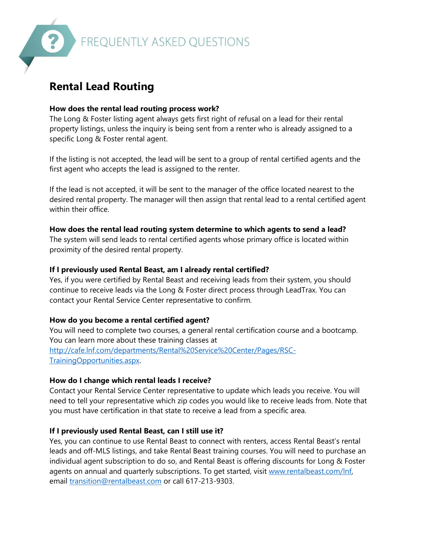

# **Rental Lead Routing**

#### **How does the rental lead routing process work?**

The Long & Foster listing agent always gets first right of refusal on a lead for their rental property listings, unless the inquiry is being sent from a renter who is already assigned to a specific Long & Foster rental agent.

If the listing is not accepted, the lead will be sent to a group of rental certified agents and the first agent who accepts the lead is assigned to the renter.

If the lead is not accepted, it will be sent to the manager of the office located nearest to the desired rental property. The manager will then assign that rental lead to a rental certified agent within their office.

#### **How does the rental lead routing system determine to which agents to send a lead?**

The system will send leads to rental certified agents whose primary office is located within proximity of the desired rental property.

#### **If I previously used Rental Beast, am I already rental certified?**

Yes, if you were certified by Rental Beast and receiving leads from their system, you should continue to receive leads via the Long & Foster direct process through LeadTrax. You can contact your Rental Service Center representative to confirm.

## **How do you become a rental certified agent?**

You will need to complete two courses, a general rental certification course and a bootcamp. You can learn more about these training classes at [http://cafe.lnf.com/departments/Rental%20Service%20Center/Pages/RSC-](http://cafe.lnf.com/departments/Rental%20Service%20Center/Pages/RSC-TrainingOpportunities.aspx)[TrainingOpportunities.aspx.](http://cafe.lnf.com/departments/Rental%20Service%20Center/Pages/RSC-TrainingOpportunities.aspx)

## **How do I change which rental leads I receive?**

Contact your Rental Service Center representative to update which leads you receive. You will need to tell your representative which zip codes you would like to receive leads from. Note that you must have certification in that state to receive a lead from a specific area.

## **If I previously used Rental Beast, can I still use it?**

Yes, you can continue to use Rental Beast to connect with renters, access Rental Beast's rental leads and off-MLS listings, and take Rental Beast training courses. You will need to purchase an individual agent subscription to do so, and Rental Beast is offering discounts for Long & Foster agents on annual and quarterly subscriptions. To get started, visit [www.rentalbeast.com/lnf,](http://www.rentalbeast.com/lnf) email [transition@rentalbeast.com](mailto:transition@rentalbeast.com) or call 617-213-9303.